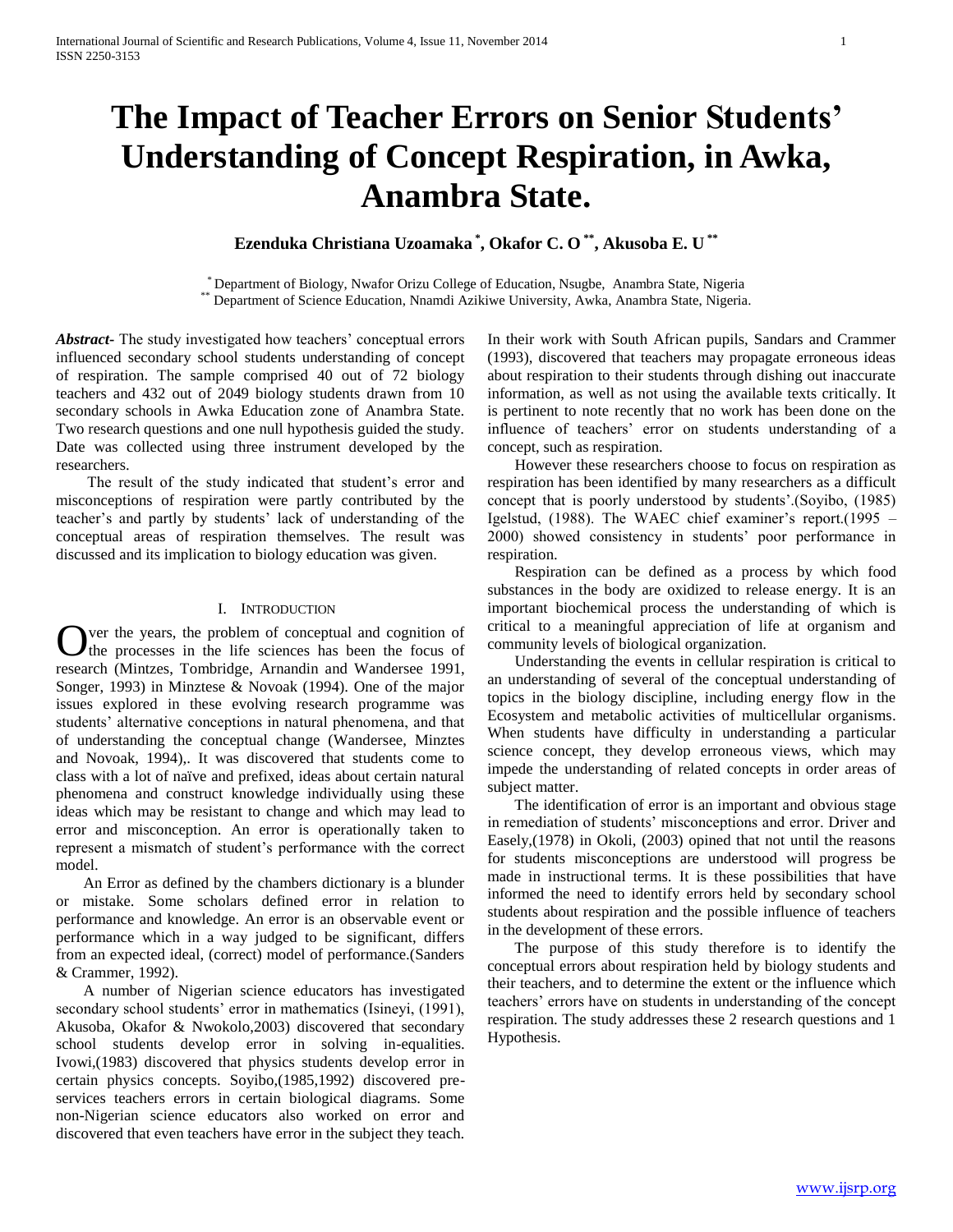# **The Impact of Teacher Errors on Senior Students' Understanding of Concept Respiration, in Awka, Anambra State.**

**Ezenduka Christiana Uzoamaka \* , Okafor C. O \*\* , Akusoba E. U \*\***

\* Department of Biology, Nwafor Orizu College of Education, Nsugbe, Anambra State, Nigeria \*\* Department of Science Education, Nnamdi Azikiwe University, Awka, Anambra State, Nigeria.

*Abstract***-** The study investigated how teachers' conceptual errors influenced secondary school students understanding of concept of respiration. The sample comprised 40 out of 72 biology teachers and 432 out of 2049 biology students drawn from 10 secondary schools in Awka Education zone of Anambra State. Two research questions and one null hypothesis guided the study. Date was collected using three instrument developed by the researchers.

 The result of the study indicated that student's error and misconceptions of respiration were partly contributed by the teacher's and partly by students' lack of understanding of the conceptual areas of respiration themselves. The result was discussed and its implication to biology education was given.

# I. INTRODUCTION

ver the years, the problem of conceptual and cognition of the processes in the life sciences has been the focus of research (Mintzes, Tombridge, Arnandin and Wandersee 1991, Songer, 1993) in Minztese & Novoak (1994). One of the major issues explored in these evolving research programme was students' alternative conceptions in natural phenomena, and that of understanding the conceptual change (Wandersee, Minztes and Novoak, 1994),. It was discovered that students come to class with a lot of naïve and prefixed, ideas about certain natural phenomena and construct knowledge individually using these ideas which may be resistant to change and which may lead to error and misconception. An error is operationally taken to represent a mismatch of student's performance with the correct model. O

 An Error as defined by the chambers dictionary is a blunder or mistake. Some scholars defined error in relation to performance and knowledge. An error is an observable event or performance which in a way judged to be significant, differs from an expected ideal, (correct) model of performance.(Sanders & Crammer, 1992).

 A number of Nigerian science educators has investigated secondary school students' error in mathematics (Isineyi, (1991), Akusoba, Okafor & Nwokolo,2003) discovered that secondary school students develop error in solving in-equalities. Ivowi,(1983) discovered that physics students develop error in certain physics concepts. Soyibo,(1985,1992) discovered preservices teachers errors in certain biological diagrams. Some non-Nigerian science educators also worked on error and discovered that even teachers have error in the subject they teach.

In their work with South African pupils, Sandars and Crammer (1993), discovered that teachers may propagate erroneous ideas about respiration to their students through dishing out inaccurate information, as well as not using the available texts critically. It is pertinent to note recently that no work has been done on the influence of teachers' error on students understanding of a concept, such as respiration.

 However these researchers choose to focus on respiration as respiration has been identified by many researchers as a difficult concept that is poorly understood by students'.(Soyibo, (1985) Igelstud, (1988). The WAEC chief examiner's report.(1995 – 2000) showed consistency in students' poor performance in respiration.

 Respiration can be defined as a process by which food substances in the body are oxidized to release energy. It is an important biochemical process the understanding of which is critical to a meaningful appreciation of life at organism and community levels of biological organization.

 Understanding the events in cellular respiration is critical to an understanding of several of the conceptual understanding of topics in the biology discipline, including energy flow in the Ecosystem and metabolic activities of multicellular organisms. When students have difficulty in understanding a particular science concept, they develop erroneous views, which may impede the understanding of related concepts in order areas of subject matter.

 The identification of error is an important and obvious stage in remediation of students' misconceptions and error. Driver and Easely,(1978) in Okoli, (2003) opined that not until the reasons for students misconceptions are understood will progress be made in instructional terms. It is these possibilities that have informed the need to identify errors held by secondary school students about respiration and the possible influence of teachers in the development of these errors.

 The purpose of this study therefore is to identify the conceptual errors about respiration held by biology students and their teachers, and to determine the extent or the influence which teachers' errors have on students in understanding of the concept respiration. The study addresses these 2 research questions and 1 Hypothesis.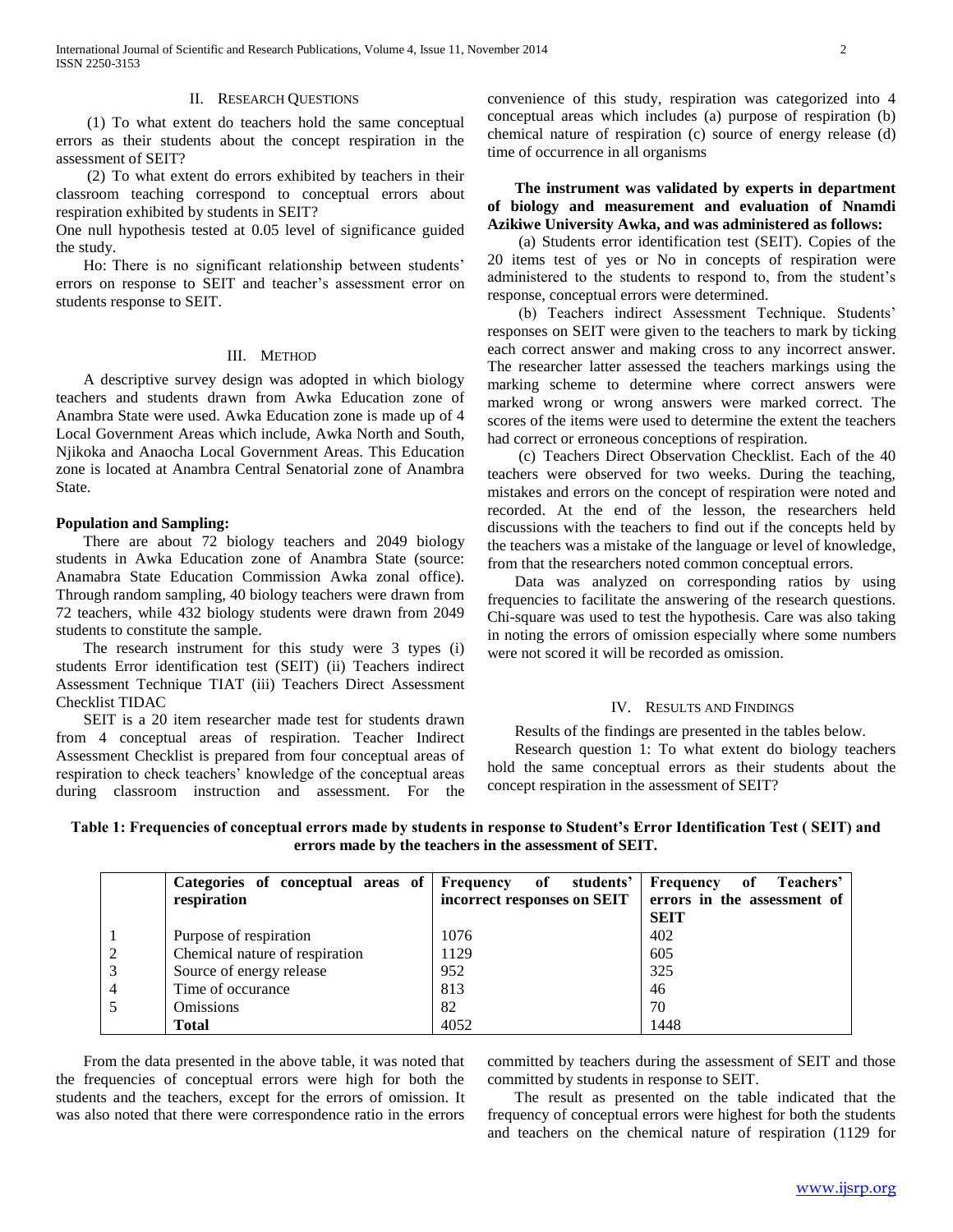## II. RESEARCH QUESTIONS

 (1) To what extent do teachers hold the same conceptual errors as their students about the concept respiration in the assessment of SEIT?

 (2) To what extent do errors exhibited by teachers in their classroom teaching correspond to conceptual errors about respiration exhibited by students in SEIT?

One null hypothesis tested at 0.05 level of significance guided the study.

 Ho: There is no significant relationship between students' errors on response to SEIT and teacher's assessment error on students response to SEIT.

## III. METHOD

 A descriptive survey design was adopted in which biology teachers and students drawn from Awka Education zone of Anambra State were used. Awka Education zone is made up of 4 Local Government Areas which include, Awka North and South, Njikoka and Anaocha Local Government Areas. This Education zone is located at Anambra Central Senatorial zone of Anambra State.

## **Population and Sampling:**

 There are about 72 biology teachers and 2049 biology students in Awka Education zone of Anambra State (source: Anamabra State Education Commission Awka zonal office). Through random sampling, 40 biology teachers were drawn from 72 teachers, while 432 biology students were drawn from 2049 students to constitute the sample.

 The research instrument for this study were 3 types (i) students Error identification test (SEIT) (ii) Teachers indirect Assessment Technique TIAT (iii) Teachers Direct Assessment Checklist TIDAC

 SEIT is a 20 item researcher made test for students drawn from 4 conceptual areas of respiration. Teacher Indirect Assessment Checklist is prepared from four conceptual areas of respiration to check teachers' knowledge of the conceptual areas during classroom instruction and assessment. For the

convenience of this study, respiration was categorized into 4 conceptual areas which includes (a) purpose of respiration (b) chemical nature of respiration (c) source of energy release (d) time of occurrence in all organisms

# **The instrument was validated by experts in department of biology and measurement and evaluation of Nnamdi Azikiwe University Awka, and was administered as follows:**

 (a) Students error identification test (SEIT). Copies of the 20 items test of yes or No in concepts of respiration were administered to the students to respond to, from the student's response, conceptual errors were determined.

 (b) Teachers indirect Assessment Technique. Students' responses on SEIT were given to the teachers to mark by ticking each correct answer and making cross to any incorrect answer. The researcher latter assessed the teachers markings using the marking scheme to determine where correct answers were marked wrong or wrong answers were marked correct. The scores of the items were used to determine the extent the teachers had correct or erroneous conceptions of respiration.

 (c) Teachers Direct Observation Checklist. Each of the 40 teachers were observed for two weeks. During the teaching, mistakes and errors on the concept of respiration were noted and recorded. At the end of the lesson, the researchers held discussions with the teachers to find out if the concepts held by the teachers was a mistake of the language or level of knowledge, from that the researchers noted common conceptual errors.

 Data was analyzed on corresponding ratios by using frequencies to facilitate the answering of the research questions. Chi-square was used to test the hypothesis. Care was also taking in noting the errors of omission especially where some numbers were not scored it will be recorded as omission.

#### IV. RESULTS AND FINDINGS

Results of the findings are presented in the tables below.

 Research question 1: To what extent do biology teachers hold the same conceptual errors as their students about the concept respiration in the assessment of SEIT?

**Table 1: Frequencies of conceptual errors made by students in response to Student's Error Identification Test ( SEIT) and errors made by the teachers in the assessment of SEIT.**

|                | Categories of conceptual areas of Frequency<br>respiration | of students'<br>incorrect responses on SEIT | Frequency<br>Teachers'<br>оf<br>errors in the assessment of |
|----------------|------------------------------------------------------------|---------------------------------------------|-------------------------------------------------------------|
|                |                                                            | 1076                                        | <b>SEIT</b><br>402                                          |
|                | Purpose of respiration                                     |                                             |                                                             |
| 2              | Chemical nature of respiration                             | 1129                                        | 605                                                         |
| 3              | Source of energy release                                   | 952                                         | 325                                                         |
| $\overline{4}$ | Time of occurance                                          | 813                                         | 46                                                          |
|                | <b>Omissions</b>                                           | 82                                          | 70                                                          |
|                | <b>Total</b>                                               | 4052                                        | 1448                                                        |

 From the data presented in the above table, it was noted that the frequencies of conceptual errors were high for both the students and the teachers, except for the errors of omission. It was also noted that there were correspondence ratio in the errors committed by teachers during the assessment of SEIT and those committed by students in response to SEIT.

 The result as presented on the table indicated that the frequency of conceptual errors were highest for both the students and teachers on the chemical nature of respiration (1129 for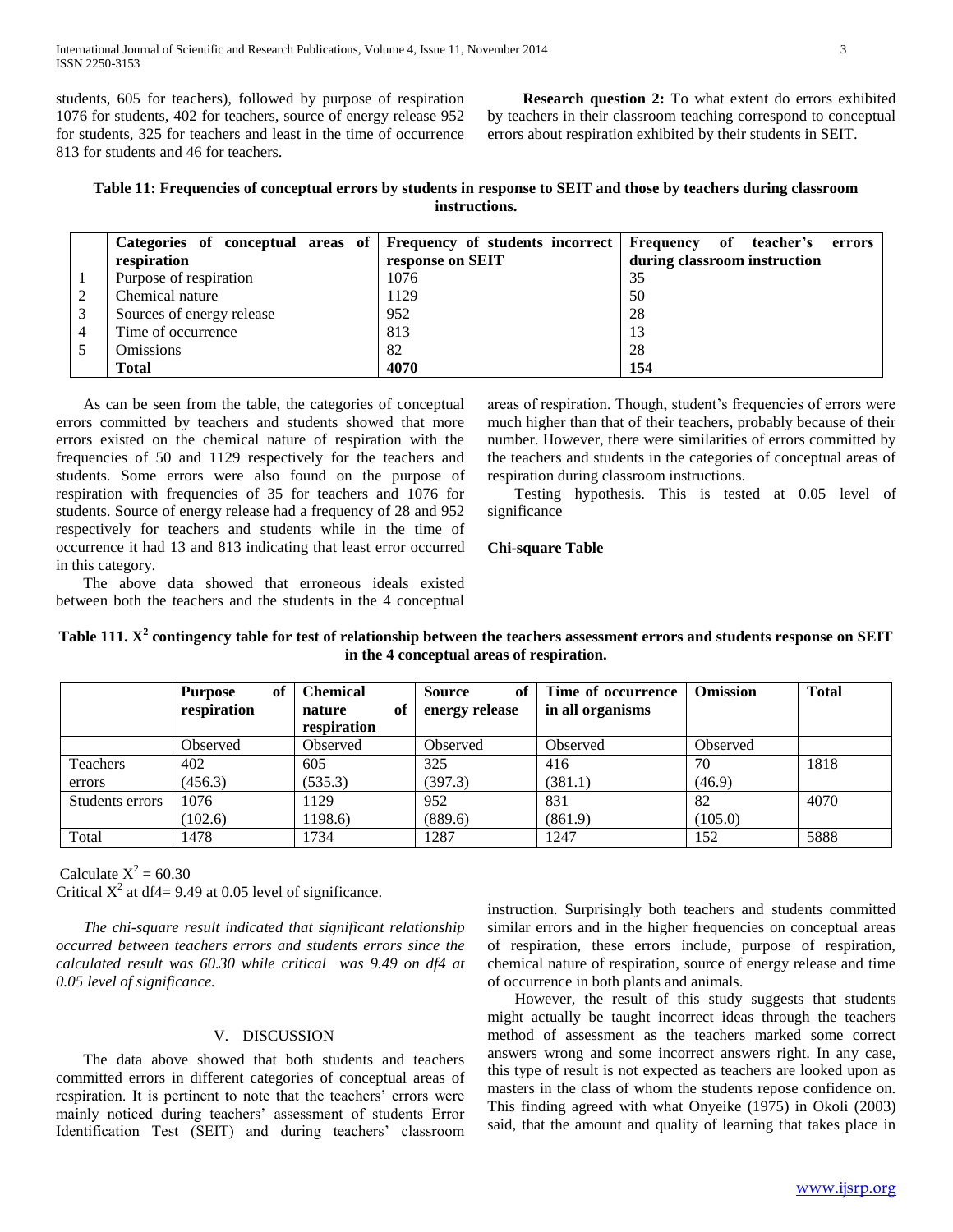students, 605 for teachers), followed by purpose of respiration 1076 for students, 402 for teachers, source of energy release 952 for students, 325 for teachers and least in the time of occurrence 813 for students and 46 for teachers.

 **Research question 2:** To what extent do errors exhibited by teachers in their classroom teaching correspond to conceptual errors about respiration exhibited by their students in SEIT.

| Table 11: Frequencies of conceptual errors by students in response to SEIT and those by teachers during classroom |  |
|-------------------------------------------------------------------------------------------------------------------|--|
| instructions.                                                                                                     |  |

| Categories of conceptual areas of Frequency of students incorrect Frequency |                  | teacher's<br>of<br>errors    |
|-----------------------------------------------------------------------------|------------------|------------------------------|
| respiration                                                                 | response on SEIT | during classroom instruction |
| Purpose of respiration                                                      | 1076             | 35                           |
| Chemical nature                                                             | 1129             | 50                           |
| Sources of energy release                                                   | 952              | 28                           |
| Time of occurrence                                                          | 813              | 13                           |
| <b>Omissions</b>                                                            | 82               | 28                           |
| <b>Total</b>                                                                | 4070             | 154                          |

 As can be seen from the table, the categories of conceptual errors committed by teachers and students showed that more errors existed on the chemical nature of respiration with the frequencies of 50 and 1129 respectively for the teachers and students. Some errors were also found on the purpose of respiration with frequencies of 35 for teachers and 1076 for students. Source of energy release had a frequency of 28 and 952 respectively for teachers and students while in the time of occurrence it had 13 and 813 indicating that least error occurred in this category.

areas of respiration. Though, student's frequencies of errors were much higher than that of their teachers, probably because of their number. However, there were similarities of errors committed by the teachers and students in the categories of conceptual areas of respiration during classroom instructions.

 Testing hypothesis. This is tested at 0.05 level of significance

## **Chi-square Table**

 The above data showed that erroneous ideals existed between both the teachers and the students in the 4 conceptual

| In the 4 conceptual areas of respiration. |                                     |                                                |                                       |                                        |                 |              |  |  |  |
|-------------------------------------------|-------------------------------------|------------------------------------------------|---------------------------------------|----------------------------------------|-----------------|--------------|--|--|--|
|                                           | of<br><b>Purpose</b><br>respiration | <b>Chemical</b><br>оf<br>nature<br>respiration | <b>Source</b><br>оf<br>energy release | Time of occurrence<br>in all organisms | <b>Omission</b> | <b>Total</b> |  |  |  |
|                                           | Observed                            | Observed                                       | Observed                              | Observed                               | Observed        |              |  |  |  |
| Teachers                                  | 402                                 | 605                                            | 325                                   | 416                                    | 70              | 1818         |  |  |  |
| errors                                    | (456.3)                             | (535.3)                                        | (397.3)                               | (381.1)                                | (46.9)          |              |  |  |  |
| Students errors                           | 1076                                | 1129                                           | 952                                   | 831                                    | 82              | 4070         |  |  |  |
|                                           | (102.6)                             | 1198.6)                                        | (889.6)                               | (861.9)                                | (105.0)         |              |  |  |  |

Total 1478 1734 1287 1247 152 5888

**Table 111. X<sup>2</sup> contingency table for test of relationship between the teachers assessment errors and students response on SEIT in the 4 conceptual areas of respiration.**

Calculate  $X^2 = 60.30$ Critical  $X^2$  at df4= 9.49 at 0.05 level of significance.

 *The chi-square result indicated that significant relationship occurred between teachers errors and students errors since the calculated result was 60.30 while critical was 9.49 on df4 at 0.05 level of significance.*

# V. DISCUSSION

 The data above showed that both students and teachers committed errors in different categories of conceptual areas of respiration. It is pertinent to note that the teachers' errors were mainly noticed during teachers' assessment of students Error Identification Test (SEIT) and during teachers' classroom instruction. Surprisingly both teachers and students committed similar errors and in the higher frequencies on conceptual areas of respiration, these errors include, purpose of respiration, chemical nature of respiration, source of energy release and time of occurrence in both plants and animals.

 However, the result of this study suggests that students might actually be taught incorrect ideas through the teachers method of assessment as the teachers marked some correct answers wrong and some incorrect answers right. In any case, this type of result is not expected as teachers are looked upon as masters in the class of whom the students repose confidence on. This finding agreed with what Onyeike (1975) in Okoli (2003) said, that the amount and quality of learning that takes place in